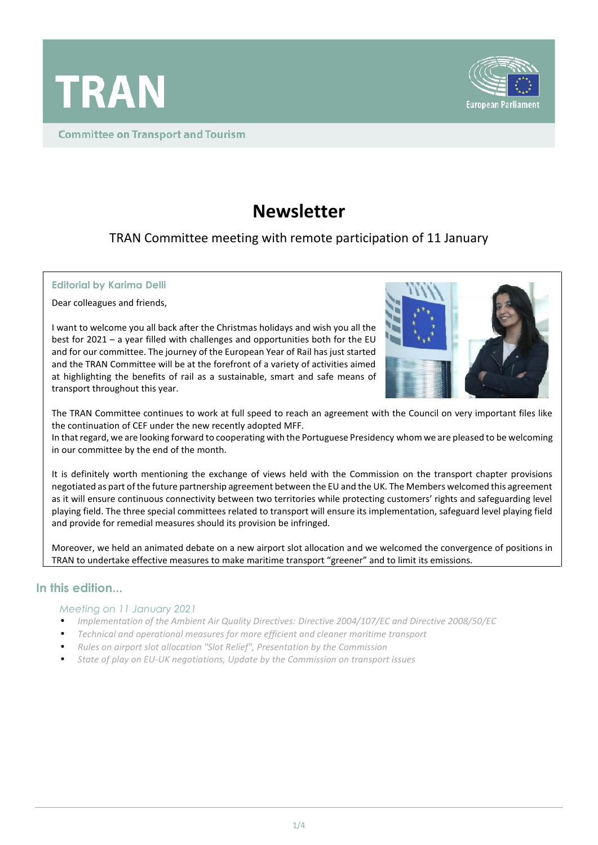

**Committee on Transport and Tourism** 



# **Newsletter**

TRAN Committee meeting with remote participation of 11 January

#### **Editorial by Karima Delli**

Dear colleagues and friends,

I want to welcome you all back after the Christmas holidays and wish you all the best for 2021 – a year filled with challenges and opportunities both for the EU and for our committee. The journey of the European Year of Rail has just started and the TRAN Committee will be at the forefront of a variety of activities aimed at highlighting the benefits of rail as a sustainable, smart and safe means of transport throughout this year.



The TRAN Committee continues to work at full speed to reach an agreement with the Council on very important files like the continuation of CEF under the new recently adopted MFF.

In that regard, we are looking forward to cooperating with the Portuguese Presidency whom we are pleased to be welcoming in our committee by the end of the month.

It is definitely worth mentioning the exchange of views held with the Commission on the transport chapter provisions negotiated as part of the future partnership agreement between the EU and the UK. The Members welcomed this agreement as it will ensure continuous connectivity between two territories while protecting customers' rights and safeguarding level playing field. The three special committees related to transport will ensure its implementation, safeguard level playing field and provide for remedial measures should its provision be infringed.

Moreover, we held an animated debate on a new airport slot allocation and we welcomed the convergence of positions in TRAN to undertake effective measures to make maritime transport "greener" and to limit its emissions.

### **In this edition...**

#### *Meeting on 11 January 2021*

- *Implementation of the Ambient Air Quality Directives: Directive 2004/107/EC and Directive 2008/50/EC*
- *Technical and operational measures for more efficient and cleaner maritime transport*
- *Rules on airport slot allocation "Slot Relief", Presentation by the Commission*
- *State of play on EU-UK negotiations, Update by the Commission on transport issues*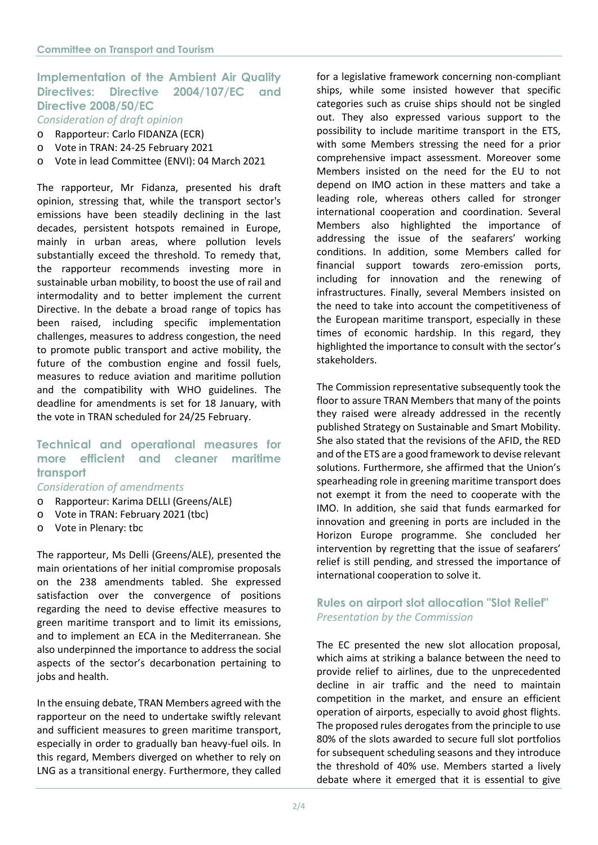# **Implementation of the Ambient Air Quality Directives: Directive 2004/107/EC and Directive 2008/50/EC**

*Consideration of draft opinion*

- o Rapporteur: Carlo FIDANZA (ECR)
- o Vote in TRAN: 24-25 February 2021
- o Vote in lead Committee (ENVI): 04 March 2021

The rapporteur, Mr Fidanza, presented his draft opinion, stressing that, while the transport sector's emissions have been steadily declining in the last decades, persistent hotspots remained in Europe, mainly in urban areas, where pollution levels substantially exceed the threshold. To remedy that, the rapporteur recommends investing more in sustainable urban mobility, to boost the use of rail and intermodality and to better implement the current Directive. In the debate a broad range of topics has been raised, including specific implementation challenges, measures to address congestion, the need to promote public transport and active mobility, the future of the combustion engine and fossil fuels, measures to reduce aviation and maritime pollution and the compatibility with WHO guidelines. The deadline for amendments is set for 18 January, with the vote in TRAN scheduled for 24/25 February.

## **Technical and operational measures for more efficient and cleaner maritime transport**

#### *Consideration of amendments*

- o Rapporteur: Karima DELLI (Greens/ALE)
- o Vote in TRAN: February 2021 (tbc)
- o Vote in Plenary: tbc

The rapporteur, Ms Delli (Greens/ALE), presented the main orientations of her initial compromise proposals on the 238 amendments tabled. She expressed satisfaction over the convergence of positions regarding the need to devise effective measures to green maritime transport and to limit its emissions, and to implement an ECA in the Mediterranean. She also underpinned the importance to address the social aspects of the sector's decarbonation pertaining to jobs and health.

In the ensuing debate, TRAN Members agreed with the rapporteur on the need to undertake swiftly relevant and sufficient measures to green maritime transport, especially in order to gradually ban heavy-fuel oils. In this regard, Members diverged on whether to rely on LNG as a transitional energy. Furthermore, they called

for a legislative framework concerning non-compliant ships, while some insisted however that specific categories such as cruise ships should not be singled out. They also expressed various support to the possibility to include maritime transport in the ETS, with some Members stressing the need for a prior comprehensive impact assessment. Moreover some Members insisted on the need for the EU to not depend on IMO action in these matters and take a leading role, whereas others called for stronger international cooperation and coordination. Several Members also highlighted the importance of addressing the issue of the seafarers' working conditions. In addition, some Members called for financial support towards zero-emission ports, including for innovation and the renewing of infrastructures. Finally, several Members insisted on the need to take into account the competitiveness of the European maritime transport, especially in these times of economic hardship. In this regard, they highlighted the importance to consult with the sector's stakeholders.

The Commission representative subsequently took the floor to assure TRAN Members that many of the points they raised were already addressed in the recently published Strategy on Sustainable and Smart Mobility. She also stated that the revisions of the AFID, the RED and of the ETS are a good framework to devise relevant solutions. Furthermore, she affirmed that the Union's spearheading role in greening maritime transport does not exempt it from the need to cooperate with the IMO. In addition, she said that funds earmarked for innovation and greening in ports are included in the Horizon Europe programme. She concluded her intervention by regretting that the issue of seafarers' relief is still pending, and stressed the importance of international cooperation to solve it.

## **Rules on airport slot allocation "Slot Relief"** *Presentation by the Commission*

The EC presented the new slot allocation proposal, which aims at striking a balance between the need to provide relief to airlines, due to the unprecedented decline in air traffic and the need to maintain competition in the market, and ensure an efficient operation of airports, especially to avoid ghost flights. The proposed rules derogates from the principle to use 80% of the slots awarded to secure full slot portfolios for subsequent scheduling seasons and they introduce the threshold of 40% use. Members started a lively debate where it emerged that it is essential to give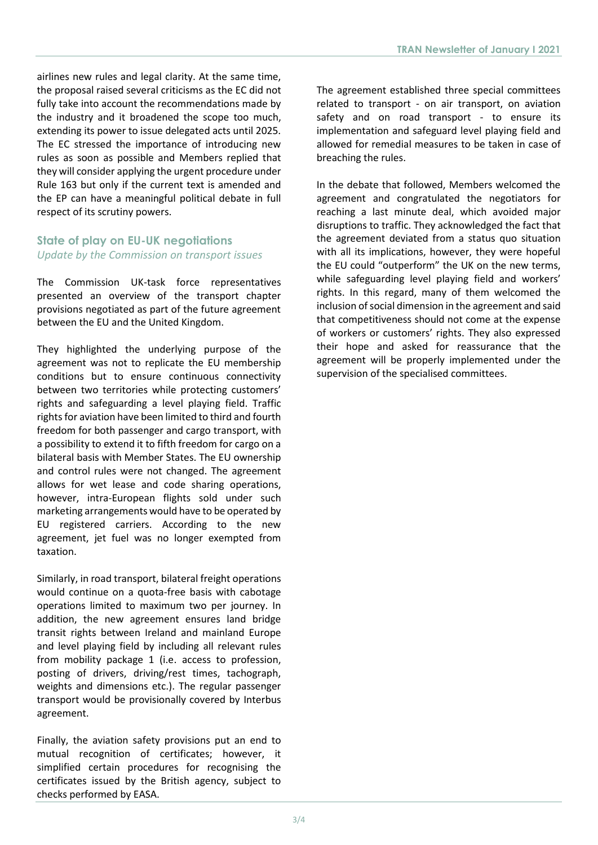airlines new rules and legal clarity. At the same time, the proposal raised several criticisms as the EC did not fully take into account the recommendations made by the industry and it broadened the scope too much, extending its power to issue delegated acts until 2025. The EC stressed the importance of introducing new rules as soon as possible and Members replied that they will consider applying the urgent procedure under Rule 163 but only if the current text is amended and the EP can have a meaningful political debate in full respect of its scrutiny powers.

## **State of play on EU-UK negotiations** *Update by the Commission on transport issues*

The Commission UK-task force representatives presented an overview of the transport chapter provisions negotiated as part of the future agreement between the EU and the United Kingdom.

They highlighted the underlying purpose of the agreement was not to replicate the EU membership conditions but to ensure continuous connectivity between two territories while protecting customers' rights and safeguarding a level playing field. Traffic rights for aviation have been limited to third and fourth freedom for both passenger and cargo transport, with a possibility to extend it to fifth freedom for cargo on a bilateral basis with Member States. The EU ownership and control rules were not changed. The agreement allows for wet lease and code sharing operations, however, intra-European flights sold under such marketing arrangements would have to be operated by EU registered carriers. According to the new agreement, jet fuel was no longer exempted from taxation.

Similarly, in road transport, bilateral freight operations would continue on a quota-free basis with cabotage operations limited to maximum two per journey. In addition, the new agreement ensures land bridge transit rights between Ireland and mainland Europe and level playing field by including all relevant rules from mobility package 1 (i.e. access to profession, posting of drivers, driving/rest times, tachograph, weights and dimensions etc.). The regular passenger transport would be provisionally covered by Interbus agreement.

Finally, the aviation safety provisions put an end to mutual recognition of certificates; however, it simplified certain procedures for recognising the certificates issued by the British agency, subject to checks performed by EASA.

The agreement established three special committees related to transport - on air transport, on aviation safety and on road transport - to ensure its implementation and safeguard level playing field and allowed for remedial measures to be taken in case of breaching the rules.

In the debate that followed, Members welcomed the agreement and congratulated the negotiators for reaching a last minute deal, which avoided major disruptions to traffic. They acknowledged the fact that the agreement deviated from a status quo situation with all its implications, however, they were hopeful the EU could "outperform" the UK on the new terms, while safeguarding level playing field and workers' rights. In this regard, many of them welcomed the inclusion of social dimension in the agreement and said that competitiveness should not come at the expense of workers or customers' rights. They also expressed their hope and asked for reassurance that the agreement will be properly implemented under the supervision of the specialised committees.